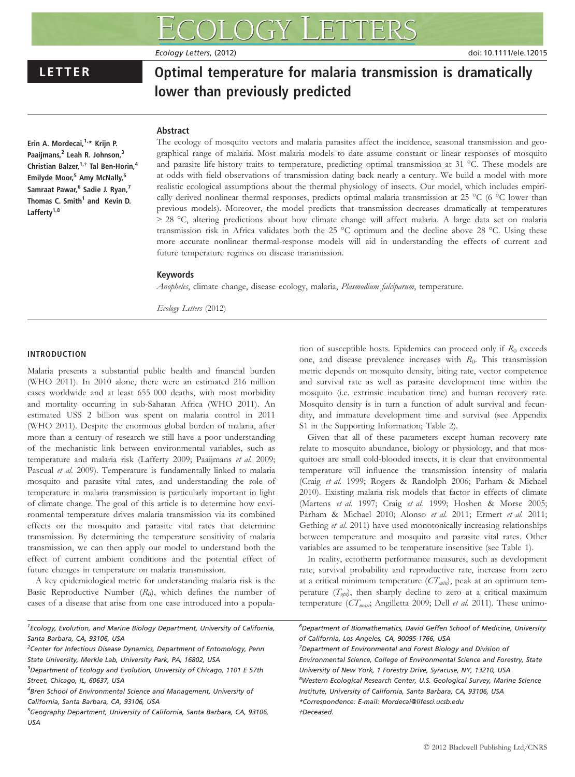Ecology Letters, (2012) doi: 10.1111/ele.12015

### LETTER Optimal temperature for malaria transmission is dramatically lower than previously predicted

### **Abstract**

Erin A. Mordecai, $1, *$  Krijn P. Paaijmans,<sup>2</sup> Leah R. Johnson,<sup>3</sup> Christian Balzer, <sup>1,†</sup> Tal Ben-Horin,<sup>4</sup> Emilyde Moor,<sup>5</sup> Amy McNally,<sup>5</sup> Samraat Pawar,<sup>6</sup> Sadie J. Ryan,<sup>7</sup> Thomas C. Smith<sup>1</sup> and Kevin D. Lafferty<sup>1,8</sup>

The ecology of mosquito vectors and malaria parasites affect the incidence, seasonal transmission and geographical range of malaria. Most malaria models to date assume constant or linear responses of mosquito and parasite life-history traits to temperature, predicting optimal transmission at 31 °C. These models are at odds with field observations of transmission dating back nearly a century. We build a model with more realistic ecological assumptions about the thermal physiology of insects. Our model, which includes empirically derived nonlinear thermal responses, predicts optimal malaria transmission at 25 °C (6 °C lower than previous models). Moreover, the model predicts that transmission decreases dramatically at temperatures > 28 °C, altering predictions about how climate change will affect malaria. A large data set on malaria transmission risk in Africa validates both the 25 °C optimum and the decline above 28 °C. Using these more accurate nonlinear thermal-response models will aid in understanding the effects of current and future temperature regimes on disease transmission.

### Keywords

Anopheles, climate change, disease ecology, malaria, Plasmodium falciparum, temperature.

Ecology Letters (2012)

#### INTRODUCTION

Malaria presents a substantial public health and financial burden (WHO 2011). In 2010 alone, there were an estimated 216 million cases worldwide and at least 655 000 deaths, with most morbidity and mortality occurring in sub-Saharan Africa (WHO 2011). An estimated US\$ 2 billion was spent on malaria control in 2011 (WHO 2011). Despite the enormous global burden of malaria, after more than a century of research we still have a poor understanding of the mechanistic link between environmental variables, such as temperature and malaria risk (Lafferty 2009; Paaijmans et al. 2009; Pascual et al. 2009). Temperature is fundamentally linked to malaria mosquito and parasite vital rates, and understanding the role of temperature in malaria transmission is particularly important in light of climate change. The goal of this article is to determine how environmental temperature drives malaria transmission via its combined effects on the mosquito and parasite vital rates that determine transmission. By determining the temperature sensitivity of malaria transmission, we can then apply our model to understand both the effect of current ambient conditions and the potential effect of future changes in temperature on malaria transmission.

A key epidemiological metric for understanding malaria risk is the Basic Reproductive Number  $(R<sub>0</sub>)$ , which defines the number of cases of a disease that arise from one case introduced into a popula-

<sup>1</sup> Ecology, Evolution, and Marine Biology Department, University of California, Santa Barbara, CA, 93106, USA

<sup>2</sup>Center for Infectious Disease Dynamics, Department of Entomology, Penn State University, Merkle Lab, University Park, PA, 16802, USA

 ${}^{3}$ Department of Ecology and Evolution, University of Chicago, 1101 E 57th Street, Chicago, IL, 60637, USA

tion of susceptible hosts. Epidemics can proceed only if  $R_0$  exceeds one, and disease prevalence increases with  $R_0$ . This transmission metric depends on mosquito density, biting rate, vector competence and survival rate as well as parasite development time within the mosquito (i.e. extrinsic incubation time) and human recovery rate. Mosquito density is in turn a function of adult survival and fecundity, and immature development time and survival (see Appendix S1 in the Supporting Information; Table 2).

Given that all of these parameters except human recovery rate relate to mosquito abundance, biology or physiology, and that mosquitoes are small cold-blooded insects, it is clear that environmental temperature will influence the transmission intensity of malaria (Craig et al. 1999; Rogers & Randolph 2006; Parham & Michael 2010). Existing malaria risk models that factor in effects of climate (Martens et al. 1997; Craig et al. 1999; Hoshen & Morse 2005; Parham & Michael 2010; Alonso et al. 2011; Ermert et al. 2011; Gething et al. 2011) have used monotonically increasing relationships between temperature and mosquito and parasite vital rates. Other variables are assumed to be temperature insensitive (see Table 1).

In reality, ectotherm performance measures, such as development rate, survival probability and reproductive rate, increase from zero at a critical minimum temperature  $(CT_{min})$ , peak at an optimum temperature  $(T_{opt})$ , then sharply decline to zero at a critical maximum temperature ( $CT_{max}$ ; Angilletta 2009; Dell et al. 2011). These unimo-

6 Department of Biomathematics, David Geffen School of Medicine, University of California, Los Angeles, CA, 90095-1766, USA

<sup>7</sup>Department of Environmental and Forest Biology and Division of Environmental Science, College of Environmental Science and Forestry, State University of New York, 1 Forestry Drive, Syracuse, NY, 13210, USA <sup>8</sup>Western Ecological Research Center, U.S. Geological Survey, Marine Science Institute, University of California, Santa Barbara, CA, 93106, USA \*Correspondence: E-mail: Mordecai@lifesci.ucsb.edu †Deceased.

<sup>&</sup>lt;sup>4</sup>Bren School of Environmental Science and Management, University of California, Santa Barbara, CA, 93106, USA

<sup>&</sup>lt;sup>5</sup>Geography Department, University of California, Santa Barbara, CA, 93106, USA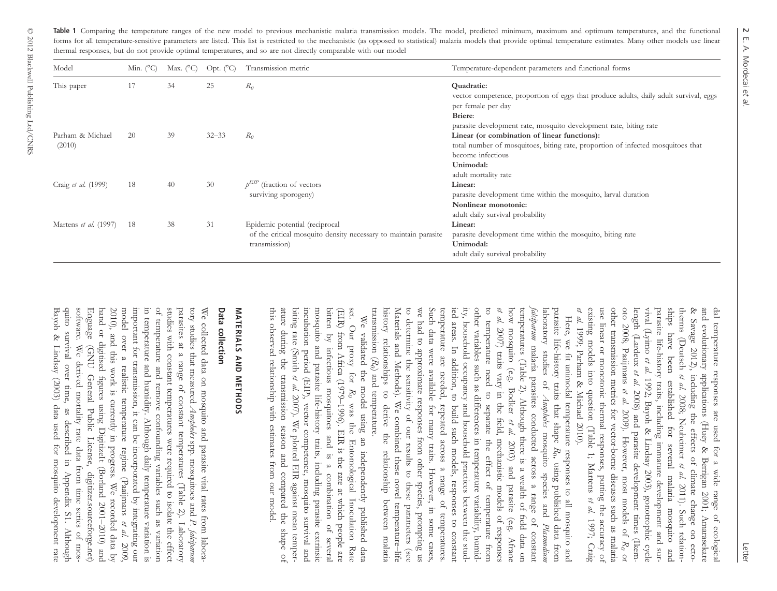**Table 1** Comparing the temperature ranges of the new model to previous mechanistic malaria transmission models. The model, predicted minimum, maximum and optimum temperatures, and the functional forms for all temperature-sensitive parameters are listed. This list is restricted to the mechanistic (as opposed to statistical) malaria models that provide optimal temperature estimates. Many other models use linear thermal responses, but do not provide optimal temperatures, and so are not directly comparable with our model

| Model                        | Min. $(^{\circ}C)$ | Max. $(^{\circ}C)$ | Opt. $(^{\circ}C)$ | Transmission metric                                                                                                | Temperature-dependent parameters and functional forms                                                                                                                                                     |  |
|------------------------------|--------------------|--------------------|--------------------|--------------------------------------------------------------------------------------------------------------------|-----------------------------------------------------------------------------------------------------------------------------------------------------------------------------------------------------------|--|
| This paper                   | 17                 | 34                 | 25                 | $R_0$                                                                                                              | Quadratic:<br>vector competence, proportion of eggs that produce adults, daily adult survival, eggs<br>per female per day<br>Briere:<br>parasite development rate, mosquito development rate, biting rate |  |
| Parham & Michael<br>(2010)   | 20                 | 39                 | $32 - 33$          | $R_0$                                                                                                              | Linear (or combination of linear functions):<br>total number of mosquitoes, biting rate, proportion of infected mosquitoes that<br>become infectious<br>Unimodal:<br>adult mortality rate                 |  |
| Craig et al. (1999)          | 18                 | 40                 | 30                 | (fraction of vectors)<br>surviving sporogeny)                                                                      | Linear:<br>parasite development time within the mosquito, larval duration<br>Nonlinear monotonic:<br>adult daily survival probability                                                                     |  |
| Martens <i>et al.</i> (1997) | 18                 | 38                 | 31                 | Epidemic potential (reciprocal<br>of the critical mosquito density necessary to maintain parasite<br>transmission) | Linear:<br>parasite development time within the mosquito, biting rate<br>Unimodal:<br>adult daily survival probability                                                                                    |  |

existing models into question (Table 1; Martens  $et al. 1999$ ; Parham & Michael 2010). length (Lardeux et al. 2008) and parasite development times (Ileenand evolutionary applications (Huey & Berrigan 2001; Amarasekare existing models into question (Table 1; Martens use linear or monotonic thermal responses, putting the accuracy of use linear or monotonic thermal responses, putting the accuracy of other transmission metrics for vector-borne diseases such as malaria other transmission metrics for vector-borne diseases such as malaria oto 2008; Paaijmans length (Lardeux vival (Lyimo parasite life-history traits, including immature development and surships have been established for several malaria mosquito and ships have been established for several malaria mosquito and therms (Deutsch & Savage 2012), including the effects of climate change on ecto-& Savage 2012), including the effects of climate change on ectoand evolutionary applications (Huey & Berrigan 2001; Amarasekare dal temperature responses are used for a wide range of ecological parasite life-history traits, including immature development and surdal temperature responses are used for a wide range of ecologica 1999; Parham & Michael 2010). et al. et al. 1992; Bayoh & Lindsay 2003), gonotrophic cycle et al. 2008) and parasite development times (Ikem-2008; Neuheimer 2009). However, most models of et al. 2011). Such relationet al. 1997; Craig  $R<sub>0</sub>$ or

we had to approximate responses from other species, prompting us transmission ( history relationships to derive the relationship between malaria Materials and Methods). We combined these novel temperature to determine the sensitivity of our results to these parameters (see we had to approximate responses from other species, prompting us Such data were available for many traits. However, in some cases, Such data were available for many traits. However, in some cases temperature are needed, repeated across a range of temperatures. ied areas. In addition, to build such models, responses to constant ied areas. In addition, to build such models, responses to constant ity, household occupancy and household practices between the studity, household occupancy and household practices between the studother variables such as differences in temperature variability, humidto temperature need to separate the effect of temperature from et al. 2007) traits vary in the field, mechanistic models of responses temperatures (Table 2). Although there is a wealth of field data on how mosquito (e.g. Bodker  $\alpha' a l$ , 2003) and parasite (e.g. Afrance how mosquito (e.g. Bodker temperatures (Table 2). Although there is a wealth of field data on laboratory studies of parasite life-history traits that shape transmission  $(R_0)$  and temperature. history relationships to derive the relationship between malaria Materials and Methods). We combined these novel temperature-life to determine the sensitivity of our results to these parameters (see temperature are needed, repeated across a range of temperatures other variables such as differences in temperature variability, humidto temperature need to separate the effect of temperature from falciparum malaria parasites conducted across a range of constant parasite life-history traits that shape  $R_0$ , using published data from Here, we fit unimodal temperature responses to all mosquito and Here, we fit unimodal temperature responses to all mosquito and 2007) traits vary in the field, mechanistic models of responses malaria parasites conducted across a range of constant  $R_0$ ) and temperature. Anopheles mosquito species and 2003) and parasite (e.g. Afrane R0, using published data from Plasmodium

incubation period (EIP), vector competence, mosquito survival and biting rate (Smith et al. 2007). We plotted EIR against mean temperthis observed relationship with estimates from our model. ature during the transmission season and compared the shape of ature during the transmission season and compared the shape of biting rate (Smith incubation period (EIP), vector competence, mosquito survival and mosquito and parasite life-history traits, including parasite extrinsic bitten by infectious mosquitoes and is a combination of several (EIR) from Africa (1979We validated the model using an independently published data<br>set. Our proxy for  $R_0$  was the Entomological Inoculation Rate set. Our proxy for this observed relationship with estimates from our model. mosquito and parasite life-history traits, including parasite extrinsic bitten by infectious mosquitoes and is a combination of several (EIR) from Africa (1979–1996). EIR is the rate at which people are We validated the model using an independently published data 2007). We plotted EIR against mean temper-–1996). EIR is the rate at which people are was the Entomological Inoculation Rate Entomological Inoculation Rate

## MATERIALS AND METHODS **MATERIALS AND METHODS**

## Data collection Data collection

Bayoh & Lindsay (2003) data used for mosquito development rate quito survival over time, as described in Appendix S1. Although quito survival over time, as described in Appendix S1. Although software. We derived mortality rate data from time series of mossoftware. We derived mortality rate data from time series of mos-Enguage (GNU General Public License, digitizer.sourceforge.net) hand or digitised figures using DigitizeIt (Borland 2001 2010), and this work is currently in progress. We recorded data by model over a realistic temperature regime (Paaijmans important for transmission, it can be incorporated by integrating our in temperature and humidity. Although daily temperature variation is of temperature and remove confounding variables such as variation studies with constant temperatures were required to isolate the effect studies with constant temperatures were required to isolate the effect parasites at a range of constant temperatures (Table 2). Laboratory parasites at a range of constant temperatures (Table 2). Laboratory tory studies that measured We collected data on mosquito and parasite vital rates from labora-Bayoh & Lindsay (2003) data used for mosquito development rate **Hnguage** hand or digitised figures using Digitizelt (Borland 2001–2010) and 2010), and this work is currently in progress. We recorded data by model over a realistic temperature regime (Paaijmans et al. important for transmission, it can be incorporated by integrating our in temperature and humidity. Although daily temperature variation is of temperature and remove confounding variables such as variation We collected data on mosquito and parasite vital rates from labora. (GNU General Public License, digitizer.sourceforge.net) Anopheles spp. mosquitoes and P. falciparum 2009,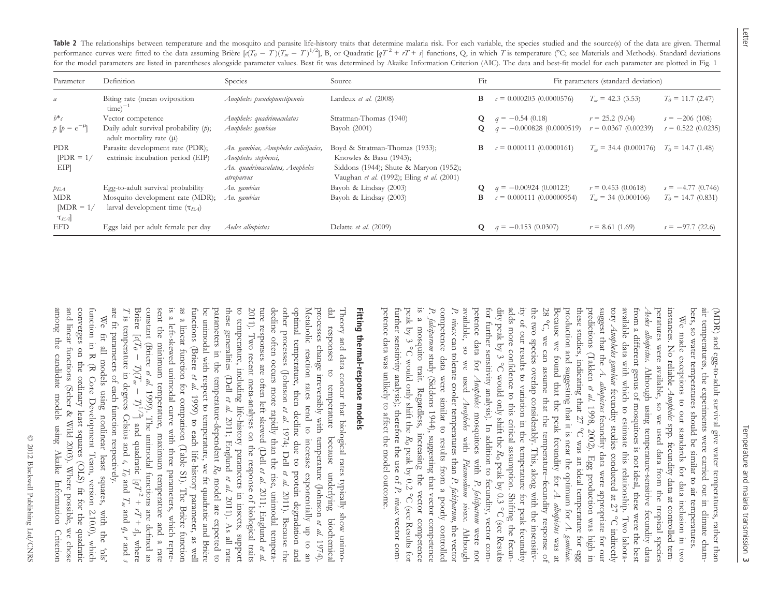Table 2 The relationships between temperature and the mosquito and parasite life-history traits that determine malaria risk. For each variable, the species studied and the source(s) of the data are given. Thermal performance curves were fitted to the data assuming Brière  $\left[\frac{c(T_0 - T)(T_m - T)^{1/2}}{B}\right]$ , B, or Quadratic  $\left[gT^2 + rT + s\right]$  functions, Q, in which T is temperature (°C; see Materials and Methods). Standard deviations for the model parameters are listed in parentheses alongside parameter values. Best fit was determined by Akaike Information Criterion (AIC). The data and best-fit model for each parameter are plotted in Fig. <sup>1</sup>

| Parameter                        | Definition                                                               | Species                                                                                                      | Source                                                                                                                                           | Fit          | Fit parameters (standard deviation) |                             |                      |
|----------------------------------|--------------------------------------------------------------------------|--------------------------------------------------------------------------------------------------------------|--------------------------------------------------------------------------------------------------------------------------------------------------|--------------|-------------------------------------|-----------------------------|----------------------|
| a                                | Biting rate (mean oviposition<br>$time)^{-1}$                            | Anopheles pseudopunctipennis                                                                                 | Lardeux et al. $(2008)$                                                                                                                          | B            | $c = 0.000203(0.0000576)$           | $T_m$ = 42.3 (3.53)         | $T_0 = 11.7$ (2.47)  |
| $b^*c$                           | Vector competence                                                        | Anopheles quadrimaculatus                                                                                    | Stratman-Thomas (1940)                                                                                                                           | $\mathbf{O}$ | $q = -0.54(0.18)$                   | $r = 25.2(9.04)$            | $s = -206(108)$      |
| $p \, [p = e^{-\mu}]$            | Daily adult survival probability $(p)$ ;<br>adult mortality rate $(\mu)$ | Anopheles gambiae                                                                                            | Bayoh (2001)                                                                                                                                     |              | $q = -0.000828(0.0000519)$          | $r = 0.0367(0.00239)$       | $s = 0.522(0.0235)$  |
| <b>PDR</b><br>$ PDR = 1/$<br>EIP | Parasite development rate (PDR);<br>extrinsic incubation period (EIP)    | An. gambiae, Anopheles culicifacies,<br>Anopheles stephensi,<br>An. quadrimaculatus, Anopheles<br>atroparvus | Boyd & Stratman-Thomas (1933);<br>Knowles & Basu (1943);<br>Siddons (1944); Shute & Maryon (1952);<br>Vaughan et al. (1992); Eling et al. (2001) | В            | $c = 0.000111(0.0000161)$           | $T_m = 34.4 (0.000176)$     | $T_0 = 14.7 (1.48)$  |
| $p_{EA}$                         | Egg-to-adult survival probability                                        | An. gambiae                                                                                                  | Bayoh & Lindsay (2003)                                                                                                                           |              | $q = -0.00924(0.00123)$             | $r = 0.453(0.0618)$         | $s = -4.77(0.746)$   |
| <b>MDR</b>                       | Mosquito development rate (MDR);                                         | An. gambiae                                                                                                  | Bayoh & Lindsay (2003)                                                                                                                           | B            | $c = 0.000111(0.00000954)$          | $T_{\rm m}$ = 34 (0.000106) | $T_0 = 14.7 (0.831)$ |
| $[MDR = 1]$<br>$\tau_{EA}$       | larval development time $(\tau_{FA})$                                    |                                                                                                              |                                                                                                                                                  |              |                                     |                             |                      |
| EFD                              | Eggs laid per adult female per day                                       | Aedes albopictus                                                                                             | Delatte et al. $(2009)$                                                                                                                          | Q            | $q = -0.153(0.0307)$                | $r = 8.61(1.69)$            | $s = -97.7(22.6)$    |

Letter

bers, so water temperatures should be similar to air temperatures. air temperatures, the experiments were carried out in climate cham- (MDR) and egg-to-adult survival give water temperatures, rather than bers, so water temperatures should be similar to air temperatures. air temperatures, the experiments were carried out in climate cham-(MDR) and egg-to-adult survival give water temperatures, rather than

ity of our results to variation in the temperature for peak fecundity these studies, indicating that  $27^{\circ}$ C was an ideal temperature for egg petence data was unlikely to affect the model outcome. petence data was unlikely to affect the model outcome. further sensitivity analysis); therefore the use of peak by 3 °C would only shift the  $R_0$  peak by 0.2 °C (see Results for is a mosquito trait. Regardless, increasing the vector competence peak by 3 °C would only shift the  $R_0$  peak by 0.2 °C (see Results for competence data were similar to results from a poorly controlled P. vivax available, so we used petence data for for further sensitivity analysis). In addition to fecundity, vector comfor further sensitivity analysis). In addition to fecundity, vector comthe two species overlap considerably. This, along with the insensitiv-<br>ity of our results to variation in the temperature for peak fecundity<br>adds more confidence to this critical assumption. Shifting the fecundity peak by dity peak by 3 °C would only shift the  $R_0$  peak by 0.3 °C (see Results dity peak by 3 adds more confidence to this critical assumption. Shifting the fecunadds more confidence to this critical assumption. Shifting the fecunity of our results to variation in the temperature for peak fecundity the two species overlap considerably. This, along with the insensitiv-28 °Because we found that the peak fecundity for production and suggesting that it is near the optimum for these studies, indicating that 27 predictions (Takken et al. 1998, 2002). Egg production was high in predictions (Takken suggest that the  $A$ . albopictus fecundity data were appropriate for our suggest that the tory available data with which to estimate this relationship. Two laboraavailable data with which to estimate this relationship. Two laborafrom a different genus of mosquitoes is not ideal, these were the best from a different genus of mosquitoes is not ideal, these were the best Aedes albopictus. peratures were available, so we used data from the tropical species instances. No reliable Ampheles spp. fecundity data at controlled teminstances. No reliable is a mosquito trait. Regardless, increasing the vector competence P. falciparum study (Siddons 1944), suggesting that vector competence competence data were similar to results from a pootly controllec Aedes albopictus. Although using temperature-sensitive fecundity data peratures were available, so we used data from the tropical species We made exceptions to our standards for data inclusion in two We made exceptions to our standards for data inclusion in two C, we can assume that the temperature Anopheles gambiae can tolerate cooler temperatures than study (Siddons 1944), suggesting that vector competence Although using temperature-sensitive fecundity data Anopheles fecundity studies conducted at 27 Anopheles 1998, 2002). Egg production was high in mosquitoes with fecundity data were appropriate for our spp. fecundity data at controlled tem-C was an ideal temperature for egg with Plasmodium vivax. Although –fecundity response of P. falciparumP. falciparum P. vivax A. albopictus °C indirectly vector com-, the vector A. gambiae . Although were not was at

# Fitting thermal-response models Fitting thermal-response models

are fit parameters of each function respectively. is a left-skewed unimodal curve with three parameters, which repreare fit parameters of each function respectively. Z Briere  $\lbrack c(T)$ constant (Briere sent the minimum temperature, maximum temperature and a rate sent the minimum temperature, maximum temperature and a rate is a left-skewed unimodal curve with three parameters, which repreas a linear function for comparison (Table S1). The Brière function functions (Briere be unimodal with respect to temperature, we fit quadratic and Brière parameters in the temperature-dependent these generalities (Dell to temperature, including life-history parameters in insects, support 2011). Two recent meta-analyses on the response of biological traits 2011). Two recent meta-analyses on the response of biological traits ture responses are often left skewed (Dell decline often occurs more rapidly than the rise, unimodal temperadecline often occurs more rapidly than the rise, unimodal temperaother processes (Johnson optimal temperature, then decline due to optimal temperature, then decline due to protein degradation and Metabolic reaction rates tend to increase exponentially up to an Metabolic reaction rates tend to increase exponentially up to an processes change irreversibly with temperature (Johnson dal responses to temperature dal responses to temperature because underlying biochemical Theory and data concur that biological rates typically show unimo-Theory and data concur that biological rates typically show unimoas a linear function for comparison (Table S1). The Brière function functions (Briere et al. 1999) to each life-history parameter, as well be unimodal with respect to temperature, we fit quadratic and Brière to temperature, including life-history parameters in insects, support We fit all models using nonlinear least squares, We fit all models using nonlinear least squares, with the 'nls' is temperature in degrees Celsius and  $\overline{\phantom{0}}$  $\mathcal{D}$ et al.  $T_n$  $\overline{\phantom{0}}$ 1999). The unimodal functions are defined as 1999) to each life-history parameter, as well et al.  $\mathcal{L}$  $^{1/2}$ ] and quadratic [ $q\bar{I}$ et al. 2011; Englund 1974; Dell because underlying biochemica <sup>c</sup>,  $R$  $\mathcal{I}_0$ et al. protein degradation and et al. et al. model are expected to and 2011; Englund 2011). Because the  $+$ 2011). As all rate  $T_n$ with the 'nls'  $L^{I}$ and  $q$ ,  $r$  and  $r$ + s], where et al. 1974). et al.

and linear functions (Seber & Wild 2003). Where possible, we chose among the candidate among the candidate models using Akaike Information Criterion and linear functions (Seber & Wild 2003). Where possible, we chose converges on the ordinary least squares (OLS) fit for the quadratic converges on the ordinary least squares (OLS) fit for the quadratic function in R (R Core Development Team, version 2.10.0), which function in R (R Core Development Team, version 2.10.0), which models using Akaike Information Criterion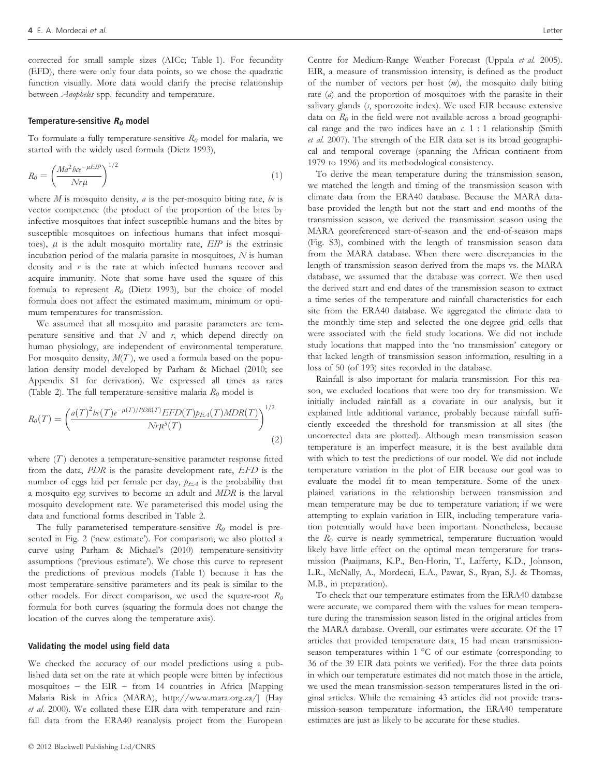corrected for small sample sizes (AICc; Table 1). For fecundity (EFD), there were only four data points, so we chose the quadratic function visually. More data would clarify the precise relationship between Anopheles spp. fecundity and temperature.

#### Temperature-sensitive  $R_0$  model

To formulate a fully temperature-sensitive  $R_0$  model for malaria, we started with the widely used formula (Dietz 1993),

$$
R_0 = \left(\frac{Ma^2 bce^{-\mu EIP}}{Nr\mu}\right)^{1/2} \tag{1}
$$

where  $M$  is mosquito density,  $a$  is the per-mosquito biting rate,  $bc$  is vector competence (the product of the proportion of the bites by infective mosquitoes that infect susceptible humans and the bites by susceptible mosquitoes on infectious humans that infect mosquitoes),  $\mu$  is the adult mosquito mortality rate,  $EIP$  is the extrinsic incubation period of the malaria parasite in mosquitoes, N is human density and  $r$  is the rate at which infected humans recover and acquire immunity. Note that some have used the square of this formula to represent  $R_0$  (Dietz 1993), but the choice of model formula does not affect the estimated maximum, minimum or optimum temperatures for transmission.

We assumed that all mosquito and parasite parameters are temperature sensitive and that  $N$  and  $r$ , which depend directly on human physiology, are independent of environmental temperature. For mosquito density,  $M(T)$ , we used a formula based on the population density model developed by Parham & Michael (2010; see Appendix S1 for derivation). We expressed all times as rates (Table 2). The full temperature-sensitive malaria  $R_0$  model is

$$
R_0(T) = \left(\frac{a(T)^2 b c(T) e^{-\mu(T)/PDR(T)} EFD(T) p_{EA}(T) MDR(T)}{N r \mu^3(T)}\right)^{1/2}
$$
\n(2)

where  $(T)$  denotes a temperature-sensitive parameter response fitted from the data, PDR is the parasite development rate, EFD is the number of eggs laid per female per day,  $p_{EA}$  is the probability that a mosquito egg survives to become an adult and MDR is the larval mosquito development rate. We parameterised this model using the data and functional forms described in Table 2.

The fully parameterised temperature-sensitive  $R_0$  model is presented in Fig. 2 ('new estimate'). For comparison, we also plotted a curve using Parham & Michael's (2010) temperature-sensitivity assumptions ('previous estimate'). We chose this curve to represent the predictions of previous models (Table 1) because it has the most temperature-sensitive parameters and its peak is similar to the other models. For direct comparison, we used the square-root  $R_0$ formula for both curves (squaring the formula does not change the location of the curves along the temperature axis).

#### Validating the model using field data

We checked the accuracy of our model predictions using a published data set on the rate at which people were bitten by infectious mosquitoes – the EIR – from 14 countries in Africa [Mapping Malaria Risk in Africa (MARA), http://www.mara.org.za/] (Hay et al. 2000). We collated these EIR data with temperature and rainfall data from the ERA40 reanalysis project from the European

Centre for Medium-Range Weather Forecast (Uppala et al. 2005). EIR, a measure of transmission intensity, is defined as the product of the number of vectors per host  $(m)$ , the mosquito daily biting rate (a) and the proportion of mosquitoes with the parasite in their salivary glands (s, sporozoite index). We used EIR because extensive data on  $R_0$  in the field were not available across a broad geographical range and the two indices have an  $c$ . 1 : 1 relationship (Smith et al. 2007). The strength of the EIR data set is its broad geographical and temporal coverage (spanning the African continent from 1979 to 1996) and its methodological consistency.

To derive the mean temperature during the transmission season, we matched the length and timing of the transmission season with climate data from the ERA40 database. Because the MARA database provided the length but not the start and end months of the transmission season, we derived the transmission season using the MARA georeferenced start-of-season and the end-of-season maps (Fig. S3), combined with the length of transmission season data from the MARA database. When there were discrepancies in the length of transmission season derived from the maps vs. the MARA database, we assumed that the database was correct. We then used the derived start and end dates of the transmission season to extract a time series of the temperature and rainfall characteristics for each site from the ERA40 database. We aggregated the climate data to the monthly time-step and selected the one-degree grid cells that were associated with the field study locations. We did not include study locations that mapped into the 'no transmission' category or that lacked length of transmission season information, resulting in a loss of 50 (of 193) sites recorded in the database.

Rainfall is also important for malaria transmission. For this reason, we excluded locations that were too dry for transmission. We initially included rainfall as a covariate in our analysis, but it explained little additional variance, probably because rainfall sufficiently exceeded the threshold for transmission at all sites (the uncorrected data are plotted). Although mean transmission season temperature is an imperfect measure, it is the best available data with which to test the predictions of our model. We did not include temperature variation in the plot of EIR because our goal was to evaluate the model fit to mean temperature. Some of the unexplained variations in the relationship between transmission and mean temperature may be due to temperature variation; if we were attempting to explain variation in EIR, including temperature variation potentially would have been important. Nonetheless, because the  $R_0$  curve is nearly symmetrical, temperature fluctuation would likely have little effect on the optimal mean temperature for transmission (Paaijmans, K.P., Ben-Horin, T., Lafferty, K.D., Johnson, L.R., McNally, A., Mordecai, E.A., Pawar, S., Ryan, S.J. & Thomas, M.B., in preparation).

To check that our temperature estimates from the ERA40 database were accurate, we compared them with the values for mean temperature during the transmission season listed in the original articles from the MARA database. Overall, our estimates were accurate. Of the 17 articles that provided temperature data, 15 had mean transmissionseason temperatures within 1 °C of our estimate (corresponding to 36 of the 39 EIR data points we verified). For the three data points in which our temperature estimates did not match those in the article, we used the mean transmission-season temperatures listed in the original articles. While the remaining 43 articles did not provide transmission-season temperature information, the ERA40 temperature estimates are just as likely to be accurate for these studies.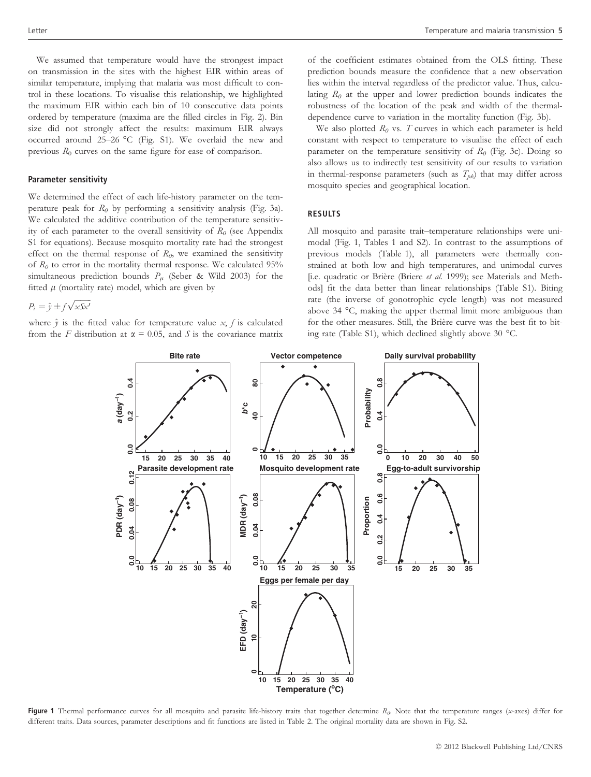We assumed that temperature would have the strongest impact on transmission in the sites with the highest EIR within areas of similar temperature, implying that malaria was most difficult to control in these locations. To visualise this relationship, we highlighted the maximum EIR within each bin of 10 consecutive data points ordered by temperature (maxima are the filled circles in Fig. 2). Bin size did not strongly affect the results: maximum EIR always occurred around 25–26 °C (Fig. S1). We overlaid the new and previous  $R_0$  curves on the same figure for ease of comparison.

#### Parameter sensitivity

We determined the effect of each life-history parameter on the temperature peak for  $R_0$  by performing a sensitivity analysis (Fig. 3a). We calculated the additive contribution of the temperature sensitivity of each parameter to the overall sensitivity of  $R_0$  (see Appendix S1 for equations). Because mosquito mortality rate had the strongest effect on the thermal response of  $R_0$ , we examined the sensitivity of  $R_0$  to error in the mortality thermal response. We calculated 95% simultaneous prediction bounds  $P_\mu$  (Seber & Wild 2003) for the fitted  $\mu$  (mortality rate) model, which are given by

 $P_i = \hat{y} \pm f \sqrt{xSx'}$ 

where  $\hat{y}$  is the fitted value for temperature value x, f is calculated from the F distribution at  $\alpha = 0.05$ , and S is the covariance matrix of the coefficient estimates obtained from the OLS fitting. These prediction bounds measure the confidence that a new observation lies within the interval regardless of the predictor value. Thus, calculating  $R_0$  at the upper and lower prediction bounds indicates the robustness of the location of the peak and width of the thermaldependence curve to variation in the mortality function (Fig. 3b).

We also plotted  $R_0$  vs. T curves in which each parameter is held constant with respect to temperature to visualise the effect of each parameter on the temperature sensitivity of  $R_0$  (Fig. 3c). Doing so also allows us to indirectly test sensitivity of our results to variation in thermal-response parameters (such as  $T_{pk}$ ) that may differ across mosquito species and geographical location.

#### RESULTS

All mosquito and parasite trait–temperature relationships were unimodal (Fig. 1, Tables 1 and S2). In contrast to the assumptions of previous models (Table 1), all parameters were thermally constrained at both low and high temperatures, and unimodal curves [i.e. quadratic or Brière (Briere et al. 1999); see Materials and Methods] fit the data better than linear relationships (Table S1). Biting rate (the inverse of gonotrophic cycle length) was not measured above 34 °C, making the upper thermal limit more ambiguous than for the other measures. Still, the Brière curve was the best fit to biting rate (Table S1), which declined slightly above 30 °C.



Figure 1 Thermal performance curves for all mosquito and parasite life-history traits that together determine  $R_0$ . Note that the temperature ranges (x-axes) differ for different traits. Data sources, parameter descriptions and fit functions are listed in Table 2. The original mortality data are shown in Fig. S2.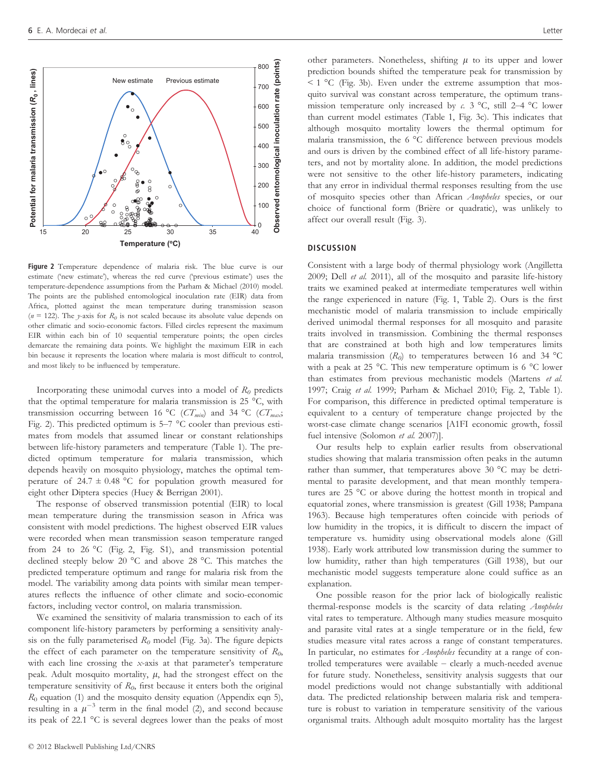

Figure 2 Temperature dependence of malaria risk. The blue curve is our estimate ('new estimate'), whereas the red curve ('previous estimate') uses the temperature-dependence assumptions from the Parham & Michael (2010) model. The points are the published entomological inoculation rate (EIR) data from Africa, plotted against the mean temperature during transmission season ( $n = 122$ ). The y-axis for  $R_0$  is not scaled because its absolute value depends on other climatic and socio-economic factors. Filled circles represent the maximum EIR within each bin of 10 sequential temperature points; the open circles demarcate the remaining data points. We highlight the maximum EIR in each bin because it represents the location where malaria is most difficult to control, and most likely to be influenced by temperature.

Incorporating these unimodal curves into a model of  $R_0$  predicts that the optimal temperature for malaria transmission is 25 °C, with transmission occurring between 16 °C ( $CT_{min}$ ) and 34 °C ( $CT_{max}$ ; Fig. 2). This predicted optimum is 5–7 °C cooler than previous estimates from models that assumed linear or constant relationships between life-history parameters and temperature (Table 1). The predicted optimum temperature for malaria transmission, which depends heavily on mosquito physiology, matches the optimal temperature of  $24.7 \pm 0.48$  °C for population growth measured for eight other Diptera species (Huey & Berrigan 2001).

The response of observed transmission potential (EIR) to local mean temperature during the transmission season in Africa was consistent with model predictions. The highest observed EIR values were recorded when mean transmission season temperature ranged from 24 to 26 °C (Fig. 2, Fig. S1), and transmission potential declined steeply below 20 °C and above 28 °C. This matches the predicted temperature optimum and range for malaria risk from the model. The variability among data points with similar mean temperatures reflects the influence of other climate and socio-economic factors, including vector control, on malaria transmission.

We examined the sensitivity of malaria transmission to each of its component life-history parameters by performing a sensitivity analysis on the fully parameterised  $R_0$  model (Fig. 3a). The figure depicts the effect of each parameter on the temperature sensitivity of  $R_0$ , with each line crossing the x-axis at that parameter's temperature peak. Adult mosquito mortality,  $\mu$ , had the strongest effect on the temperature sensitivity of  $R_0$ , first because it enters both the original  $R_0$  equation (1) and the mosquito density equation (Appendix eqn 5), resulting in a  $\mu^{-3}$  term in the final model (2), and second because its peak of 22.1 °C is several degrees lower than the peaks of most

other parameters. Nonetheless, shifting  $\mu$  to its upper and lower prediction bounds shifted the temperature peak for transmission by  $\leq$  1 °C (Fig. 3b). Even under the extreme assumption that mosquito survival was constant across temperature, the optimum transmission temperature only increased by c. 3  $^{\circ}$ C, still 2–4  $^{\circ}$ C lower than current model estimates (Table 1, Fig. 3c). This indicates that although mosquito mortality lowers the thermal optimum for malaria transmission, the 6 °C difference between previous models and ours is driven by the combined effect of all life-history parameters, and not by mortality alone. In addition, the model predictions were not sensitive to the other life-history parameters, indicating that any error in individual thermal responses resulting from the use of mosquito species other than African Anopheles species, or our choice of functional form (Brière or quadratic), was unlikely to affect our overall result (Fig. 3).

#### **DISCUSSION**

Consistent with a large body of thermal physiology work (Angilletta 2009; Dell et al. 2011), all of the mosquito and parasite life-history traits we examined peaked at intermediate temperatures well within the range experienced in nature (Fig. 1, Table 2). Ours is the first mechanistic model of malaria transmission to include empirically derived unimodal thermal responses for all mosquito and parasite traits involved in transmission. Combining the thermal responses that are constrained at both high and low temperatures limits malaria transmission  $(R_0)$  to temperatures between 16 and 34 °C with a peak at 25 °C. This new temperature optimum is 6 °C lower than estimates from previous mechanistic models (Martens et al. 1997; Craig et al. 1999; Parham & Michael 2010; Fig. 2, Table 1). For comparison, this difference in predicted optimal temperature is equivalent to a century of temperature change projected by the worst-case climate change scenarios [A1FI economic growth, fossil fuel intensive (Solomon et al. 2007)].

Our results help to explain earlier results from observational studies showing that malaria transmission often peaks in the autumn rather than summer, that temperatures above 30 °C may be detrimental to parasite development, and that mean monthly temperatures are 25 °C or above during the hottest month in tropical and equatorial zones, where transmission is greatest (Gill 1938; Pampana 1963). Because high temperatures often coincide with periods of low humidity in the tropics, it is difficult to discern the impact of temperature vs. humidity using observational models alone (Gill 1938). Early work attributed low transmission during the summer to low humidity, rather than high temperatures (Gill 1938), but our mechanistic model suggests temperature alone could suffice as an explanation.

One possible reason for the prior lack of biologically realistic thermal-response models is the scarcity of data relating Anopheles vital rates to temperature. Although many studies measure mosquito and parasite vital rates at a single temperature or in the field, few studies measure vital rates across a range of constant temperatures. In particular, no estimates for Anopheles fecundity at a range of controlled temperatures were available – clearly a much-needed avenue for future study. Nonetheless, sensitivity analysis suggests that our model predictions would not change substantially with additional data. The predicted relationship between malaria risk and temperature is robust to variation in temperature sensitivity of the various organismal traits. Although adult mosquito mortality has the largest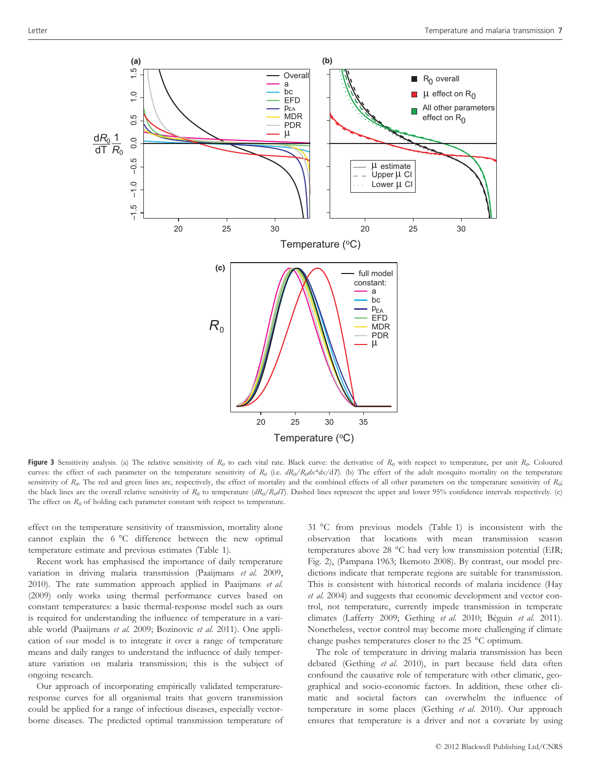

Figure 3 Sensitivity analysis. (a) The relative sensitivity of  $R_0$  to each vital rate. Black curve: the derivative of  $R_0$  with respect to temperature, per unit  $R_0$ . Coloured curves: the effect of each parameter on the temperature sensitivity of  $R_0$  (i.e.  $dR_0/R_0dx/dx/dT$ ). (b) The effect of the adult mosquito mortality on the temperature sensitivity of  $R_0$ . The red and green lines are, respectively, the effect of mortality and the combined effects of all other parameters on the temperature sensitivity of  $R_0$ ; the black lines are the overall relative sensitivity of  $R_0$  to temperature  $(dR_0/R_0dT)$ . Dashed lines represent the upper and lower 95% confidence intervals respectively. (c) The effect on  $R_0$  of holding each parameter constant with respect to temperature.

effect on the temperature sensitivity of transmission, mortality alone cannot explain the 6 °C difference between the new optimal temperature estimate and previous estimates (Table 1).

Recent work has emphasised the importance of daily temperature variation in driving malaria transmission (Paaijmans et al. 2009, 2010). The rate summation approach applied in Paaijmans et al. (2009) only works using thermal performance curves based on constant temperatures: a basic thermal-response model such as ours is required for understanding the influence of temperature in a variable world (Paaijmans et al. 2009; Bozinovic et al. 2011). One application of our model is to integrate it over a range of temperature means and daily ranges to understand the influence of daily temperature variation on malaria transmission; this is the subject of ongoing research.

Our approach of incorporating empirically validated temperatureresponse curves for all organismal traits that govern transmission could be applied for a range of infectious diseases, especially vectorborne diseases. The predicted optimal transmission temperature of 31 °C from previous models (Table 1) is inconsistent with the observation that locations with mean transmission season temperatures above 28 °C had very low transmission potential (EIR; Fig. 2), (Pampana 1963; Ikemoto 2008). By contrast, our model predictions indicate that temperate regions are suitable for transmission. This is consistent with historical records of malaria incidence (Hay et al. 2004) and suggests that economic development and vector control, not temperature, currently impede transmission in temperate climates (Lafferty 2009; Gething et al. 2010; Béguin et al. 2011). Nonetheless, vector control may become more challenging if climate change pushes temperatures closer to the 25 °C optimum.

The role of temperature in driving malaria transmission has been debated (Gething et al. 2010), in part because field data often confound the causative role of temperature with other climatic, geographical and socio-economic factors. In addition, these other climatic and societal factors can overwhelm the influence of temperature in some places (Gething et al. 2010). Our approach ensures that temperature is a driver and not a covariate by using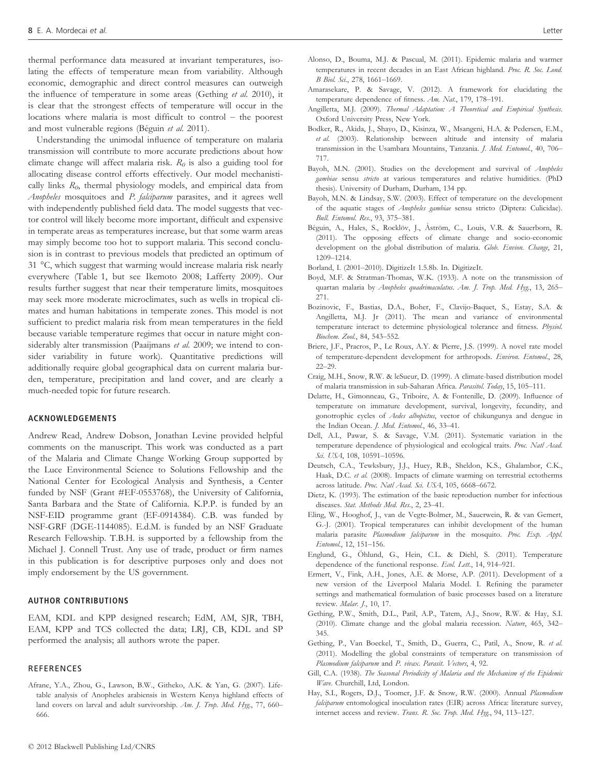thermal performance data measured at invariant temperatures, isolating the effects of temperature mean from variability. Although economic, demographic and direct control measures can outweigh the influence of temperature in some areas (Gething et al. 2010), it is clear that the strongest effects of temperature will occur in the locations where malaria is most difficult to control – the poorest and most vulnerable regions (Béguin et al. 2011).

Understanding the unimodal influence of temperature on malaria transmission will contribute to more accurate predictions about how climate change will affect malaria risk.  $R_0$  is also a guiding tool for allocating disease control efforts effectively. Our model mechanistically links  $R_0$ , thermal physiology models, and empirical data from Anopheles mosquitoes and P. falciparum parasites, and it agrees well with independently published field data. The model suggests that vector control will likely become more important, difficult and expensive in temperate areas as temperatures increase, but that some warm areas may simply become too hot to support malaria. This second conclusion is in contrast to previous models that predicted an optimum of 31 °C, which suggest that warming would increase malaria risk nearly everywhere (Table 1, but see Ikemoto 2008; Lafferty 2009). Our results further suggest that near their temperature limits, mosquitoes may seek more moderate microclimates, such as wells in tropical climates and human habitations in temperate zones. This model is not sufficient to predict malaria risk from mean temperatures in the field because variable temperature regimes that occur in nature might considerably alter transmission (Paaijmans et al. 2009; we intend to consider variability in future work). Quantitative predictions will additionally require global geographical data on current malaria burden, temperature, precipitation and land cover, and are clearly a much-needed topic for future research.

#### ACKNOWLEDGEMENTS

Andrew Read, Andrew Dobson, Jonathan Levine provided helpful comments on the manuscript. This work was conducted as a part of the Malaria and Climate Change Working Group supported by the Luce Environmental Science to Solutions Fellowship and the National Center for Ecological Analysis and Synthesis, a Center funded by NSF (Grant #EF-0553768), the University of California, Santa Barbara and the State of California. K.P.P. is funded by an NSF-EID programme grant (EF-0914384). C.B. was funded by NSF-GRF (DGE-1144085). E.d.M. is funded by an NSF Graduate Research Fellowship. T.B.H. is supported by a fellowship from the Michael J. Connell Trust. Any use of trade, product or firm names in this publication is for descriptive purposes only and does not imply endorsement by the US government.

#### AUTHOR CONTRIBUTIONS

EAM, KDL and KPP designed research; EdM, AM, SJR, TBH, EAM, KPP and TCS collected the data; LRJ, CB, KDL and SP performed the analysis; all authors wrote the paper.

#### REFERENCES

Afrane, Y.A., Zhou, G., Lawson, B.W., Githeko, A.K. & Yan, G. (2007). Lifetable analysis of Anopheles arabiensis in Western Kenya highland effects of land covers on larval and adult survivorship. Am. J. Trop. Med. Hyg., 77, 660-666.

- Eling, W., Hooghof, J., van de Vegte-Bolmer, M., Sauerwein, R. & van Gemert, G.-J. (2001). Tropical temperatures can inhibit development of the human malaria parasite Plasmodium falciparum in the mosquito. Proc. Exp. Appl.
- Englund, G., Öhlund, G., Hein, C.L. & Diehl, S. (2011). Temperature dependence of the functional response. Ecol. Lett., 14, 914–921.
- Ermert, V., Fink, A.H., Jones, A.E. & Morse, A.P. (2011). Development of a new version of the Liverpool Malaria Model. I. Refining the parameter settings and mathematical formulation of basic processes based on a literature review. Malar. J., 10, 17.
- Gething, P.W., Smith, D.L., Patil, A.P., Tatem, A.J., Snow, R.W. & Hay, S.I. (2010). Climate change and the global malaria recession. Nature, 465, 342– 345.
- Gething, P., Van Boeckel, T., Smith, D., Guerra, C., Patil, A., Snow, R. et al. (2011). Modelling the global constraints of temperature on transmission of Plasmodium falciparum and P. vivax. Parasit. Vectors, 4, 92.
- Gill, C.A. (1938). The Seasonal Periodicity of Malaria and the Mechanism of the Epidemic Wave. Churchill, Ltd, London.
- Hay, S.I., Rogers, D.J., Toomer, J.F. & Snow, R.W. (2000). Annual Plasmodium falciparum entomological inoculation rates (EIR) across Africa: literature survey, internet access and review. Trans. R. Soc. Trop. Med. Hyg., 94, 113–127.
- Alonso, D., Bouma, M.J. & Pascual, M. (2011). Epidemic malaria and warmer temperatures in recent decades in an East African highland. Proc. R. Soc. Lond. B Biol. Sci., 278, 1661–1669.
- Amarasekare, P. & Savage, V. (2012). A framework for elucidating the temperature dependence of fitness. Am. Nat., 179, 178–191.
- Angilletta, M.J. (2009). Thermal Adaptation: A Theoretical and Empirical Synthesis. Oxford University Press, New York.
- Bodker, R., Akida, J., Shayo, D., Kisinza, W., Msangeni, H.A. & Pedersen, E.M., et al. (2003). Relationship between altitude and intensity of malaria transmission in the Usambara Mountains, Tanzania. J. Med. Entomol., 40, 706– 717.
- Bayoh, M.N. (2001). Studies on the development and survival of Anopheles gambiae sensu stricto at various temperatures and relative humidities. (PhD thesis). University of Durham, Durham, 134 pp.
- Bayoh, M.N. & Lindsay, S.W. (2003). Effect of temperature on the development of the aquatic stages of Anopheles gambiae sensu stricto (Diptera: Culicidae). Bull. Entomol. Res., 93, 375–381.
- Béguin, A., Hales, S., Rocklöv, J., Åström, C., Louis, V.R. & Sauerborn, R. (2011). The opposing effects of climate change and socio-economic development on the global distribution of malaria. Glob. Envion. Change, 21, 1209–1214.
- Borland, I. (2001–2010). DigitizeIt 1.5.8b. In. DigitizeIt.
- Boyd, M.F. & Stratman-Thomas, W.K. (1933). A note on the transmission of quartan malaria by Anopheles quadrimaculatus. Am. J. Trop. Med. Hyg., 13, 265– 271.
- Bozinovic, F., Bastias, D.A., Boher, F., Clavijo-Baquet, S., Estay, S.A. & Angilletta, M.J. Jr (2011). The mean and variance of environmental temperature interact to determine physiological tolerance and fitness. Physiol. Biochem. Zool., 84, 543–552.
- Briere, J.F., Pracros, P., Le Roux, A.Y. & Pierre, J.S. (1999). A novel rate model of temperature-dependent development for arthropods. Environ. Entomol., 28, 22–29.
- Craig, M.H., Snow, R.W. & leSueur, D. (1999). A climate-based distribution model of malaria transmission in sub-Saharan Africa. Parasitol. Today, 15, 105–111.
- Delatte, H., Gimonneau, G., Triboire, A. & Fontenille, D. (2009). Influence of temperature on immature development, survival, longevity, fecundity, and gonotrophic cycles of Aedes albopictus, vector of chikungunya and dengue in the Indian Ocean. J. Med. Entomol., 46, 33–41.
- Dell, A.I., Pawar, S. & Savage, V.M. (2011). Systematic variation in the temperature dependence of physiological and ecological traits. Proc. Natl Acad. Sci. USA, 108, 10591-10596.
- Deutsch, C.A., Tewksbury, J.J., Huey, R.B., Sheldon, K.S., Ghalambor, C.K., Haak, D.C. et al. (2008). Impacts of climate warming on terrestrial ectotherms across latitude. Proc. Natl Acad. Sci. USA, 105, 6668–6672.
- Dietz, K. (1993). The estimation of the basic reproduction number for infectious diseases. Stat. Methods Med. Res., 2, 23-41.
- Entomol., 12, 151–156.
- -
	-
	-
	-